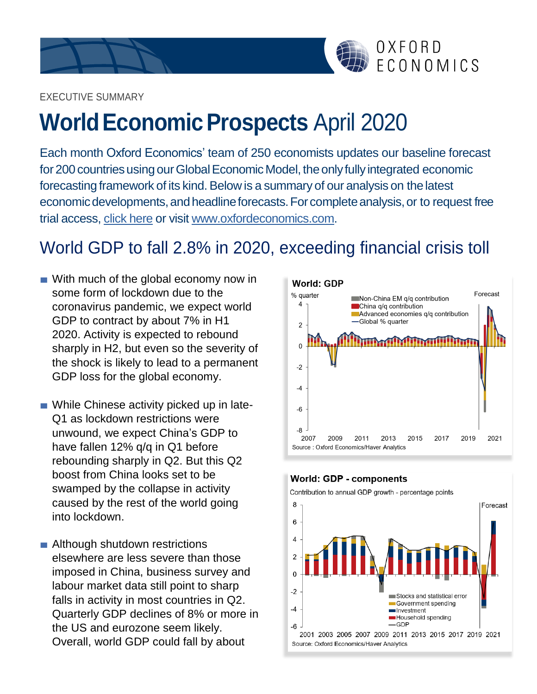

#### EXECUTIVE SUMMARY

# **World Economic Prospects April 2020**

Each month Oxford Economics' team of 250 economists updates our baseline forecast for 200 countries using our Global Economic Model, the only fully integrated economic forecasting framework of its kind. Below is a summary of our analysis on the latest economic developments, and headline forecasts. For complete analysis, or to request free trial access, click [here](http://www.oxfordeconomics.com/my-oxford/world-economic-prospects-monthly-review) or visit [www.oxfordeconomics.com.](http://www.oxfordeconomics.com/)

## World GDP to fall 2.8% in 2020, exceeding financial crisis toll

- With much of the global economy now in some form of lockdown due to the coronavirus pandemic, we expect world GDP to contract by about 7% in H1 2020. Activity is expected to rebound sharply in H2, but even so the severity of the shock is likely to lead to a permanent GDP loss for the global economy.
- While Chinese activity picked up in late-Q1 as lockdown restrictions were unwound, we expect China's GDP to have fallen 12% q/q in Q1 before rebounding sharply in Q2. But this Q2 boost from China looks set to be swamped by the collapse in activity caused by the rest of the world going into lockdown.
- Although shutdown restrictions elsewhere are less severe than those imposed in China, business survey and labour market data still point to sharp falls in activity in most countries in Q2. Quarterly GDP declines of 8% or more in the US and eurozone seem likely. Overall, world GDP could fall by about



## World: GDP - components